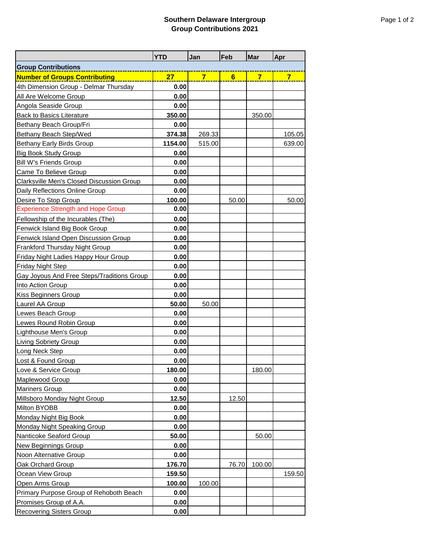|                                            | <b>YTD</b> | Jan            | Feb   | Mar            | <b>Apr</b>     |  |  |  |
|--------------------------------------------|------------|----------------|-------|----------------|----------------|--|--|--|
| <b>Group Contributions</b>                 |            |                |       |                |                |  |  |  |
| <b>Number of Groups Contributing</b>       | 27         | $\overline{7}$ | 6     | $\overline{7}$ | $\overline{7}$ |  |  |  |
| 4th Dimension Group - Delmar Thursday      | 0.00       |                |       |                |                |  |  |  |
| All Are Welcome Group                      | 0.00       |                |       |                |                |  |  |  |
| Angola Seaside Group                       | 0.00       |                |       |                |                |  |  |  |
| <b>Back to Basics Literature</b>           | 350.00     |                |       | 350.00         |                |  |  |  |
| Bethany Beach Group/Fri                    | 0.00       |                |       |                |                |  |  |  |
| Bethany Beach Step/Wed                     | 374.38     | 269.33         |       |                | 105.05         |  |  |  |
| Bethany Early Birds Group                  | 1154.00    | 515.00         |       |                | 639.00         |  |  |  |
| <b>Big Book Study Group</b>                | 0.00       |                |       |                |                |  |  |  |
| <b>Bill W's Friends Group</b>              | 0.00       |                |       |                |                |  |  |  |
| Came To Believe Group                      | 0.00       |                |       |                |                |  |  |  |
| Clarksville Men's Closed Discussion Group  | 0.00       |                |       |                |                |  |  |  |
| Daily Reflections Online Group             | 0.00       |                |       |                |                |  |  |  |
| Desire To Stop Group                       | 100.00     |                | 50.00 |                | 50.00          |  |  |  |
| <b>Experience Strength and Hope Group</b>  | 0.00       |                |       |                |                |  |  |  |
| Fellowship of the Incurables (The)         | 0.00       |                |       |                |                |  |  |  |
| Fenwick Island Big Book Group              | 0.00       |                |       |                |                |  |  |  |
| Fenwick Island Open Discussion Group       | 0.00       |                |       |                |                |  |  |  |
| <b>Frankford Thursday Night Group</b>      | 0.00       |                |       |                |                |  |  |  |
| Friday Night Ladies Happy Hour Group       | 0.00       |                |       |                |                |  |  |  |
| Friday Night Step                          | 0.00       |                |       |                |                |  |  |  |
| Gay Joyous And Free Steps/Traditions Group | 0.00       |                |       |                |                |  |  |  |
| Into Action Group                          | 0.00       |                |       |                |                |  |  |  |
| Kiss Beginners Group                       | 0.00       |                |       |                |                |  |  |  |
| Laurel AA Group                            | 50.00      | 50.00          |       |                |                |  |  |  |
| Lewes Beach Group                          | 0.00       |                |       |                |                |  |  |  |
| Lewes Round Robin Group                    | 0.00       |                |       |                |                |  |  |  |
| Lighthouse Men's Group                     | 0.00       |                |       |                |                |  |  |  |
| <b>Living Sobriety Group</b>               | 0.00       |                |       |                |                |  |  |  |
| Long Neck Step                             | 0.00       |                |       |                |                |  |  |  |
| Lost & Found Group                         | 0.00       |                |       |                |                |  |  |  |
| Love & Service Group                       | 180.00     |                |       | 180.00         |                |  |  |  |
| Maplewood Group                            | 0.00       |                |       |                |                |  |  |  |
| <b>Mariners Group</b>                      | 0.00       |                |       |                |                |  |  |  |
| Millsboro Monday Night Group               | 12.50      |                | 12.50 |                |                |  |  |  |
| Milton BYOBB                               | 0.00       |                |       |                |                |  |  |  |
| Monday Night Big Book                      | 0.00       |                |       |                |                |  |  |  |
| Monday Night Speaking Group                | 0.00       |                |       |                |                |  |  |  |
| Nanticoke Seaford Group                    | 50.00      |                |       | 50.00          |                |  |  |  |
| New Beginnings Group                       | 0.00       |                |       |                |                |  |  |  |
| Noon Alternative Group                     | 0.00       |                |       |                |                |  |  |  |
| Oak Orchard Group                          | 176.70     |                | 76.70 | 100.00         |                |  |  |  |
| Ocean View Group                           | 159.50     |                |       |                | 159.50         |  |  |  |
| Open Arms Group                            | 100.00     | 100.00         |       |                |                |  |  |  |
| Primary Purpose Group of Rehoboth Beach    | 0.00       |                |       |                |                |  |  |  |
| Promises Group of A.A.                     | 0.00       |                |       |                |                |  |  |  |
| <b>Recovering Sisters Group</b>            | 0.00       |                |       |                |                |  |  |  |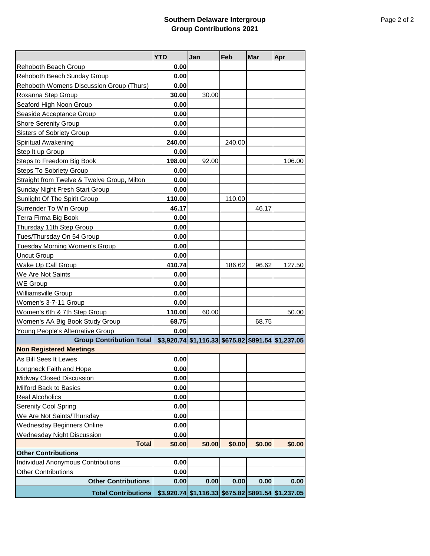## **Southern Delaware Intergroup Group Contributions 2021**

|                                                        | <b>YTD</b> | Jan                                                     | Feb    | Mar    | Apr    |
|--------------------------------------------------------|------------|---------------------------------------------------------|--------|--------|--------|
| Rehoboth Beach Group                                   | 0.00       |                                                         |        |        |        |
| Rehoboth Beach Sunday Group                            | 0.00       |                                                         |        |        |        |
| Rehoboth Womens Discussion Group (Thurs)               | 0.00       |                                                         |        |        |        |
| Roxanna Step Group                                     | 30.00      | 30.00                                                   |        |        |        |
| Seaford High Noon Group                                | 0.00       |                                                         |        |        |        |
| Seaside Acceptance Group                               | 0.00       |                                                         |        |        |        |
| <b>Shore Serenity Group</b>                            | 0.00       |                                                         |        |        |        |
| Sisters of Sobriety Group                              | 0.00       |                                                         |        |        |        |
| Spiritual Awakening                                    | 240.00     |                                                         | 240.00 |        |        |
| Step It up Group                                       | 0.00       |                                                         |        |        |        |
| Steps to Freedom Big Book                              | 198.00     | 92.00                                                   |        |        | 106.00 |
| <b>Steps To Sobriety Group</b>                         | 0.00       |                                                         |        |        |        |
| <b>Straight from Twelve &amp; Twelve Group, Milton</b> | 0.00       |                                                         |        |        |        |
| Sunday Night Fresh Start Group                         | 0.00       |                                                         |        |        |        |
| Sunlight Of The Spirit Group                           | 110.00     |                                                         | 110.00 |        |        |
| Surrender To Win Group                                 | 46.17      |                                                         |        | 46.17  |        |
| Terra Firma Big Book                                   | 0.00       |                                                         |        |        |        |
| Thursday 11th Step Group                               | 0.00       |                                                         |        |        |        |
| Tues/Thursday On 54 Group                              | 0.00       |                                                         |        |        |        |
| <b>Tuesday Morning Women's Group</b>                   | 0.00       |                                                         |        |        |        |
| <b>Uncut Group</b>                                     | 0.00       |                                                         |        |        |        |
| Wake Up Call Group                                     | 410.74     |                                                         | 186.62 | 96.62  | 127.50 |
| We Are Not Saints                                      | 0.00       |                                                         |        |        |        |
| <b>WE Group</b>                                        | 0.00       |                                                         |        |        |        |
| Williamsville Group                                    | 0.00       |                                                         |        |        |        |
| Women's 3-7-11 Group                                   | 0.00       |                                                         |        |        |        |
| Women's 6th & 7th Step Group                           | 110.00     | 60.00                                                   |        |        | 50.00  |
| Women's AA Big Book Study Group                        | 68.75      |                                                         |        | 68.75  |        |
| Young People's Alternative Group                       | 0.00       |                                                         |        |        |        |
| <b>Group Contribution Total</b>                        |            | $$3,920.74$ $$1,116.33$ $$675.82$ $$891.54$ $$1,237.05$ |        |        |        |
| <b>Non Registered Meetings</b>                         |            |                                                         |        |        |        |
| As Bill Sees It Lewes                                  | 0.00       |                                                         |        |        |        |
| Longneck Faith and Hope                                | 0.00       |                                                         |        |        |        |
| <b>Midway Closed Discussion</b>                        | 0.00       |                                                         |        |        |        |
| Milford Back to Basics                                 | 0.00       |                                                         |        |        |        |
| <b>Real Alcoholics</b>                                 | 0.00       |                                                         |        |        |        |
| Serenity Cool Spring                                   | 0.00       |                                                         |        |        |        |
| We Are Not Saints/Thursday                             | 0.00       |                                                         |        |        |        |
| <b>Wednesday Beginners Online</b>                      | 0.00       |                                                         |        |        |        |
| <b>Wednesday Night Discussion</b>                      | 0.00       |                                                         |        |        |        |
| <b>Total</b>                                           | \$0.00     | \$0.00                                                  | \$0.00 | \$0.00 | \$0.00 |
| <b>Other Contributions</b>                             |            |                                                         |        |        |        |
| Individual Anonymous Contributions                     | 0.00       |                                                         |        |        |        |
| <b>Other Contributions</b>                             | 0.00       |                                                         |        |        |        |
| <b>Other Contributions</b>                             | 0.00       | 0.00                                                    | 0.00   | 0.00   | 0.00   |
| <b>Total Contributions</b>                             |            | \$3,920.74 \$1,116.33 \$675.82 \$891.54 \$1,237.05      |        |        |        |